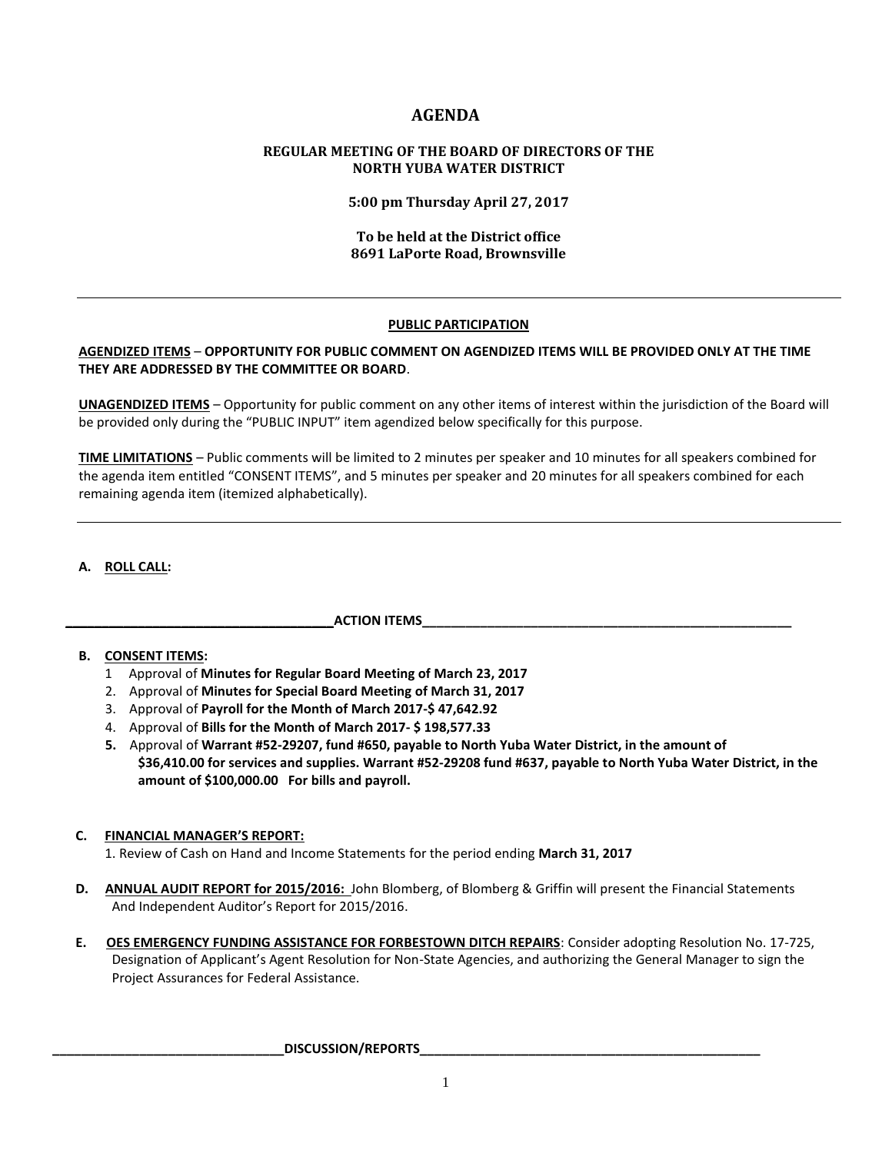# **AGENDA**

### **REGULAR MEETING OF THE BOARD OF DIRECTORS OF THE NORTH YUBA WATER DISTRICT**

**5:00 pm Thursday April 27, 2017**

### **To be held at the District office 8691 LaPorte Road, Brownsville**

### **PUBLIC PARTICIPATION**

### **AGENDIZED ITEMS** – **OPPORTUNITY FOR PUBLIC COMMENT ON AGENDIZED ITEMS WILL BE PROVIDED ONLY AT THE TIME THEY ARE ADDRESSED BY THE COMMITTEE OR BOARD**.

**UNAGENDIZED ITEMS** – Opportunity for public comment on any other items of interest within the jurisdiction of the Board will be provided only during the "PUBLIC INPUT" item agendized below specifically for this purpose.

**TIME LIMITATIONS** – Public comments will be limited to 2 minutes per speaker and 10 minutes for all speakers combined for the agenda item entitled "CONSENT ITEMS", and 5 minutes per speaker and 20 minutes for all speakers combined for each remaining agenda item (itemized alphabetically).

## **A. ROLL CALL:**

### **\_\_\_\_\_\_\_\_\_\_\_\_\_\_\_\_\_\_\_\_\_\_\_\_\_\_\_\_\_\_\_\_\_\_\_\_\_ACTION ITEMS\_\_\_\_\_\_\_\_\_\_\_\_\_\_\_\_\_\_\_\_\_\_\_\_\_\_\_\_\_\_\_\_\_\_\_\_\_\_\_\_\_\_\_\_\_\_\_\_\_\_\_**

### **B. CONSENT ITEMS:**

- 1 Approval of **Minutes for Regular Board Meeting of March 23, 2017**
- 2. Approval of **Minutes for Special Board Meeting of March 31, 2017**
- 3. Approval of **Payroll for the Month of March 2017-\$ 47,642.92**
- 4. Approval of **Bills for the Month of March 2017- \$ 198,577.33**
- **5.** Approval of **Warrant #52-29207, fund #650, payable to North Yuba Water District, in the amount of \$36,410.00 for services and supplies. Warrant #52-29208 fund #637, payable to North Yuba Water District, in the amount of \$100,000.00 For bills and payroll.**

### **C. FINANCIAL MANAGER'S REPORT:**

1. Review of Cash on Hand and Income Statements for the period ending **March 31, 2017**

- **D. ANNUAL AUDIT REPORT for 2015/2016:** John Blomberg, of Blomberg & Griffin will present the Financial Statements And Independent Auditor's Report for 2015/2016.
- **E. OES EMERGENCY FUNDING ASSISTANCE FOR FORBESTOWN DITCH REPAIRS**: Consider adopting Resolution No. 17-725, Designation of Applicant's Agent Resolution for Non-State Agencies, and authorizing the General Manager to sign the Project Assurances for Federal Assistance.

#### DISCUSSION/REPORTS